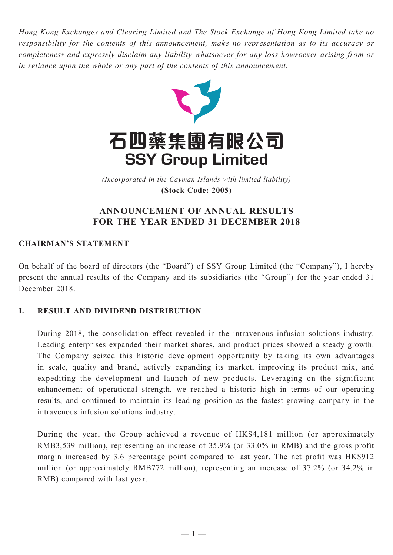*Hong Kong Exchanges and Clearing Limited and The Stock Exchange of Hong Kong Limited take no responsibility for the contents of this announcement, make no representation as to its accuracy or completeness and expressly disclaim any liability whatsoever for any loss howsoever arising from or in reliance upon the whole or any part of the contents of this announcement.*



(Incorporated in the Cayman Islands with limited liability) *(Incorporated in the Cayman Islands with limited liability)* **(Stock Code: 2005) (Stock Code: 2005)**

# **ANNOUNCEMENT OF ANNUAL RESULTS FOR THE YEAR ENDED 31 DECEMBER 2018**

## **CHAIRMAN'S STATEMENT**

On behalf of the board of directors (the "Board") of SSY Group Limited (the "Company"), I hereby present the annual results of the Company and its subsidiaries (the "Group") for the year ended 31 December 2018.

## **I. RESULT AND DIVIDEND DISTRIBUTION**

During 2018, the consolidation effect revealed in the intravenous infusion solutions industry. Leading enterprises expanded their market shares, and product prices showed a steady growth. The Company seized this historic development opportunity by taking its own advantages in scale, quality and brand, actively expanding its market, improving its product mix, and expediting the development and launch of new products. Leveraging on the significant enhancement of operational strength, we reached a historic high in terms of our operating results, and continued to maintain its leading position as the fastest-growing company in the intravenous infusion solutions industry.

During the year, the Group achieved a revenue of HK\$4,181 million (or approximately RMB3,539 million), representing an increase of 35.9% (or 33.0% in RMB) and the gross profit margin increased by 3.6 percentage point compared to last year. The net profit was HK\$912 million (or approximately RMB772 million), representing an increase of 37.2% (or 34.2% in RMB) compared with last year.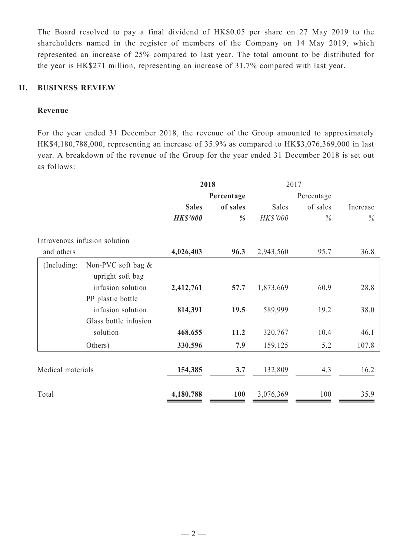The Board resolved to pay a final dividend of HK\$0.05 per share on 27 May 2019 to the shareholders named in the register of members of the Company on 14 May 2019, which represented an increase of 25% compared to last year. The total amount to be distributed for the year is HK\$271 million, representing an increase of 31.7% compared with last year.

### **II. BUSINESS REVIEW**

## **Revenue**

For the year ended 31 December 2018, the revenue of the Group amounted to approximately HK\$4,180,788,000, representing an increase of 35.9% as compared to HK\$3,076,369,000 in last year. A breakdown of the revenue of the Group for the year ended 31 December 2018 is set out as follows:

|                   |                                           | 2018            |            | 2017            |            |          |  |
|-------------------|-------------------------------------------|-----------------|------------|-----------------|------------|----------|--|
|                   |                                           | Percentage      |            |                 | Percentage |          |  |
|                   |                                           | <b>Sales</b>    | of sales   | Sales           | of sales   | Increase |  |
|                   |                                           | <b>HK\$'000</b> | %          | <b>HK\$'000</b> | $\%$       | $\%$     |  |
|                   | Intravenous infusion solution             |                 |            |                 |            |          |  |
| and others        |                                           | 4,026,403       | 96.3       | 2,943,560       | 95.7       | 36.8     |  |
| (Including:       | Non-PVC soft bag $\&$<br>upright soft bag |                 |            |                 |            |          |  |
|                   | infusion solution                         | 2,412,761       | 57.7       | 1,873,669       | 60.9       | 28.8     |  |
|                   | PP plastic bottle                         |                 |            |                 |            |          |  |
|                   | infusion solution                         | 814,391         | 19.5       | 589,999         | 19.2       | 38.0     |  |
|                   | Glass bottle infusion                     |                 |            |                 |            |          |  |
|                   | solution                                  | 468,655         | 11.2       | 320,767         | 10.4       | 46.1     |  |
|                   | Others)                                   | 330,596         | 7.9        | 159,125         | 5.2        | 107.8    |  |
|                   |                                           |                 |            |                 |            |          |  |
| Medical materials |                                           | 154,385         | 3.7        | 132,809         | 4.3        | 16.2     |  |
| Total             |                                           | 4,180,788       | <b>100</b> | 3,076,369       | 100        | 35.9     |  |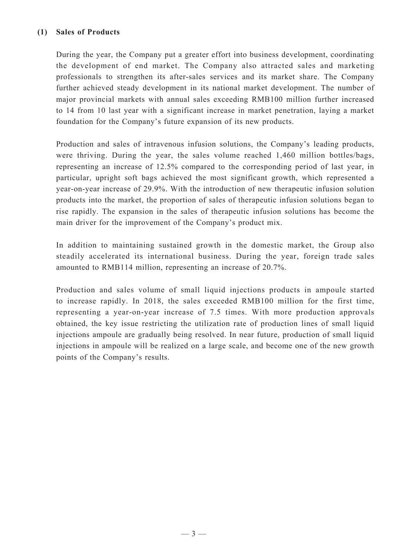## **(1) Sales of Products**

During the year, the Company put a greater effort into business development, coordinating the development of end market. The Company also attracted sales and marketing professionals to strengthen its after-sales services and its market share. The Company further achieved steady development in its national market development. The number of major provincial markets with annual sales exceeding RMB100 million further increased to 14 from 10 last year with a significant increase in market penetration, laying a market foundation for the Company's future expansion of its new products.

Production and sales of intravenous infusion solutions, the Company's leading products, were thriving. During the year, the sales volume reached 1,460 million bottles/bags, representing an increase of 12.5% compared to the corresponding period of last year, in particular, upright soft bags achieved the most significant growth, which represented a year-on-year increase of 29.9%. With the introduction of new therapeutic infusion solution products into the market, the proportion of sales of therapeutic infusion solutions began to rise rapidly. The expansion in the sales of therapeutic infusion solutions has become the main driver for the improvement of the Company's product mix.

In addition to maintaining sustained growth in the domestic market, the Group also steadily accelerated its international business. During the year, foreign trade sales amounted to RMB114 million, representing an increase of 20.7%.

Production and sales volume of small liquid injections products in ampoule started to increase rapidly. In 2018, the sales exceeded RMB100 million for the first time, representing a year-on-year increase of 7.5 times. With more production approvals obtained, the key issue restricting the utilization rate of production lines of small liquid injections ampoule are gradually being resolved. In near future, production of small liquid injections in ampoule will be realized on a large scale, and become one of the new growth points of the Company's results.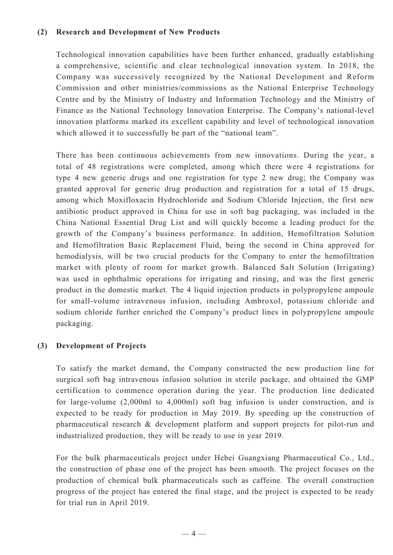### **(2) Research and Development of New Products**

Technological innovation capabilities have been further enhanced, gradually establishing a comprehensive, scientific and clear technological innovation system. In 2018, the Company was successively recognized by the National Development and Reform Commission and other ministries/commissions as the National Enterprise Technology Centre and by the Ministry of Industry and Information Technology and the Ministry of Finance as the National Technology Innovation Enterprise. The Company's national-level innovation platforms marked its excellent capability and level of technological innovation which allowed it to successfully be part of the "national team".

There has been continuous achievements from new innovations. During the year, a total of 48 registrations were completed, among which there were 4 registrations for type 4 new generic drugs and one registration for type 2 new drug; the Company was granted approval for generic drug production and registration for a total of 15 drugs, among which Moxifloxacin Hydrochloride and Sodium Chloride Injection, the first new antibiotic product approved in China for use in soft bag packaging, was included in the China National Essential Drug List and will quickly become a leading product for the growth of the Company's business performance. In addition, Hemofiltration Solution and Hemofiltration Basic Replacement Fluid, being the second in China approved for hemodialysis, will be two crucial products for the Company to enter the hemofiltration market with plenty of room for market growth. Balanced Salt Solution (Irrigating) was used in ophthalmic operations for irrigating and rinsing, and was the first generic product in the domestic market. The 4 liquid injection products in polypropylene ampoule for small-volume intravenous infusion, including Ambroxol, potassium chloride and sodium chloride further enriched the Company's product lines in polypropylene ampoule packaging.

#### **(3) Development of Projects**

To satisfy the market demand, the Company constructed the new production line for surgical soft bag intravenous infusion solution in sterile package, and obtained the GMP certification to commence operation during the year. The production line dedicated for large-volume (2,000ml to 4,000ml) soft bag infusion is under construction, and is expected to be ready for production in May 2019. By speeding up the construction of pharmaceutical research & development platform and support projects for pilot-run and industrialized production, they will be ready to use in year 2019.

For the bulk pharmaceuticals project under Hebei Guangxiang Pharmaceutical Co., Ltd., the construction of phase one of the project has been smooth. The project focuses on the production of chemical bulk pharmaceuticals such as caffeine. The overall construction progress of the project has entered the final stage, and the project is expected to be ready for trial run in April 2019.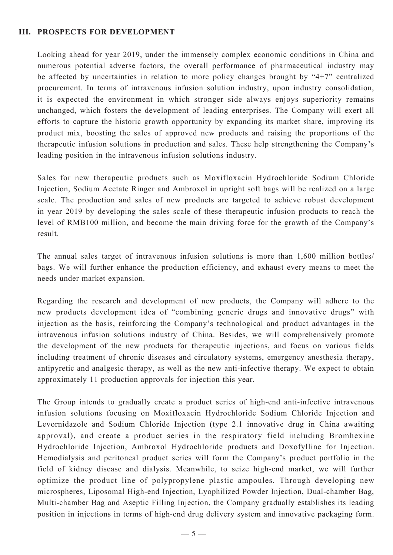### **III. PROSPECTS FOR DEVELOPMENT**

Looking ahead for year 2019, under the immensely complex economic conditions in China and numerous potential adverse factors, the overall performance of pharmaceutical industry may be affected by uncertainties in relation to more policy changes brought by "4+7" centralized procurement. In terms of intravenous infusion solution industry, upon industry consolidation, it is expected the environment in which stronger side always enjoys superiority remains unchanged, which fosters the development of leading enterprises. The Company will exert all efforts to capture the historic growth opportunity by expanding its market share, improving its product mix, boosting the sales of approved new products and raising the proportions of the therapeutic infusion solutions in production and sales. These help strengthening the Company's leading position in the intravenous infusion solutions industry.

Sales for new therapeutic products such as Moxifloxacin Hydrochloride Sodium Chloride Injection, Sodium Acetate Ringer and Ambroxol in upright soft bags will be realized on a large scale. The production and sales of new products are targeted to achieve robust development in year 2019 by developing the sales scale of these therapeutic infusion products to reach the level of RMB100 million, and become the main driving force for the growth of the Company's result.

The annual sales target of intravenous infusion solutions is more than 1,600 million bottles/ bags. We will further enhance the production efficiency, and exhaust every means to meet the needs under market expansion.

Regarding the research and development of new products, the Company will adhere to the new products development idea of "combining generic drugs and innovative drugs" with injection as the basis, reinforcing the Company's technological and product advantages in the intravenous infusion solutions industry of China. Besides, we will comprehensively promote the development of the new products for therapeutic injections, and focus on various fields including treatment of chronic diseases and circulatory systems, emergency anesthesia therapy, antipyretic and analgesic therapy, as well as the new anti-infective therapy. We expect to obtain approximately 11 production approvals for injection this year.

The Group intends to gradually create a product series of high-end anti-infective intravenous infusion solutions focusing on Moxifloxacin Hydrochloride Sodium Chloride Injection and Levornidazole and Sodium Chloride Injection (type 2.1 innovative drug in China awaiting approval), and create a product series in the respiratory field including Bromhexine Hydrochloride Injection, Ambroxol Hydrochloride products and Doxofylline for Injection. Hemodialysis and peritoneal product series will form the Company's product portfolio in the field of kidney disease and dialysis. Meanwhile, to seize high-end market, we will further optimize the product line of polypropylene plastic ampoules. Through developing new microspheres, Liposomal High-end Injection, Lyophilized Powder Injection, Dual-chamber Bag, Multi-chamber Bag and Aseptic Filling Injection, the Company gradually establishes its leading position in injections in terms of high-end drug delivery system and innovative packaging form.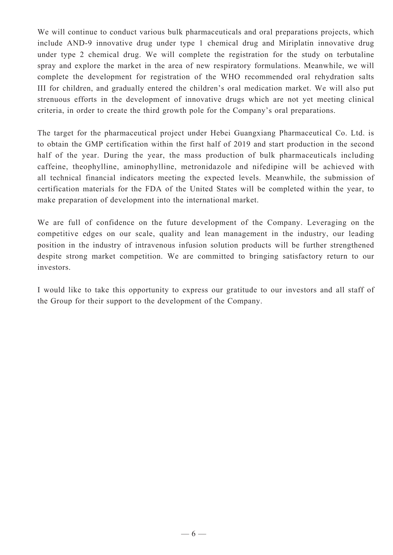We will continue to conduct various bulk pharmaceuticals and oral preparations projects, which include AND-9 innovative drug under type 1 chemical drug and Miriplatin innovative drug under type 2 chemical drug. We will complete the registration for the study on terbutaline spray and explore the market in the area of new respiratory formulations. Meanwhile, we will complete the development for registration of the WHO recommended oral rehydration salts III for children, and gradually entered the children's oral medication market. We will also put strenuous efforts in the development of innovative drugs which are not yet meeting clinical criteria, in order to create the third growth pole for the Company's oral preparations.

The target for the pharmaceutical project under Hebei Guangxiang Pharmaceutical Co. Ltd. is to obtain the GMP certification within the first half of 2019 and start production in the second half of the year. During the year, the mass production of bulk pharmaceuticals including caffeine, theophylline, aminophylline, metronidazole and nifedipine will be achieved with all technical financial indicators meeting the expected levels. Meanwhile, the submission of certification materials for the FDA of the United States will be completed within the year, to make preparation of development into the international market.

We are full of confidence on the future development of the Company. Leveraging on the competitive edges on our scale, quality and lean management in the industry, our leading position in the industry of intravenous infusion solution products will be further strengthened despite strong market competition. We are committed to bringing satisfactory return to our investors.

I would like to take this opportunity to express our gratitude to our investors and all staff of the Group for their support to the development of the Company.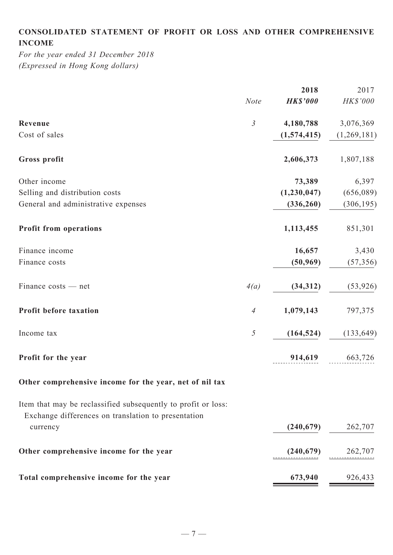# **Consolidated statement of profit or loss and other comprehensive income**

*For the year ended 31 December 2018 (Expressed in Hong Kong dollars)*

|                                                                                                                      |                | 2018            | 2017        |
|----------------------------------------------------------------------------------------------------------------------|----------------|-----------------|-------------|
|                                                                                                                      | <b>Note</b>    | <b>HK\$'000</b> | HK\$'000    |
| Revenue                                                                                                              | $\mathfrak{Z}$ | 4,180,788       | 3,076,369   |
| Cost of sales                                                                                                        |                | (1,574,415)     | (1,269,181) |
| Gross profit                                                                                                         |                | 2,606,373       | 1,807,188   |
| Other income                                                                                                         |                | 73,389          | 6,397       |
| Selling and distribution costs                                                                                       |                | (1,230,047)     | (656,089)   |
| General and administrative expenses                                                                                  |                | (336, 260)      | (306, 195)  |
| <b>Profit from operations</b>                                                                                        |                | 1,113,455       | 851,301     |
| Finance income                                                                                                       |                | 16,657          | 3,430       |
| Finance costs                                                                                                        |                | (50, 969)       | (57, 356)   |
| Finance costs — net                                                                                                  | 4(a)           | (34, 312)       | (53, 926)   |
| Profit before taxation                                                                                               | $\overline{A}$ | 1,079,143       | 797,375     |
| Income tax                                                                                                           | $\mathfrak{H}$ | (164, 524)      | (133, 649)  |
| Profit for the year                                                                                                  |                | 914,619         | 663,726     |
| Other comprehensive income for the year, net of nil tax                                                              |                |                 |             |
| Item that may be reclassified subsequently to profit or loss:<br>Exchange differences on translation to presentation |                |                 |             |
| currency                                                                                                             |                | (240, 679)      | 262,707     |
| Other comprehensive income for the year                                                                              |                | (240, 679)      | 262,707     |
| Total comprehensive income for the year                                                                              |                | 673,940         | 926,433     |
|                                                                                                                      |                |                 |             |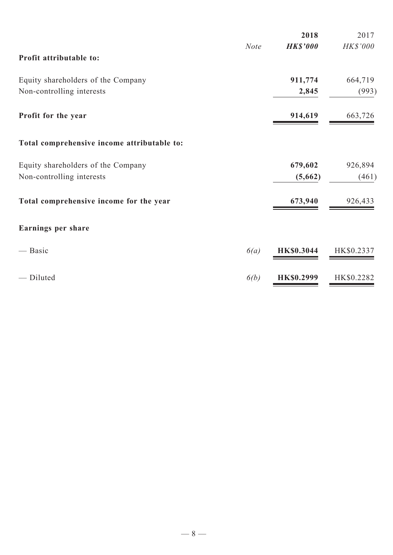|                                             |             | 2018              | 2017       |
|---------------------------------------------|-------------|-------------------|------------|
| Profit attributable to:                     | <b>Note</b> | <b>HK\$'000</b>   | HK\$'000   |
| Equity shareholders of the Company          |             | 911,774           | 664,719    |
| Non-controlling interests                   |             | 2,845             | (993)      |
| Profit for the year                         |             | 914,619           | 663,726    |
| Total comprehensive income attributable to: |             |                   |            |
| Equity shareholders of the Company          |             | 679,602           | 926,894    |
| Non-controlling interests                   |             | (5,662)           | (461)      |
| Total comprehensive income for the year     |             | 673,940           | 926,433    |
| Earnings per share                          |             |                   |            |
| — Basic                                     | 6(a)        | <b>HK\$0.3044</b> | HK\$0.2337 |
| - Diluted                                   | 6(b)        | <b>HK\$0.2999</b> | HK\$0.2282 |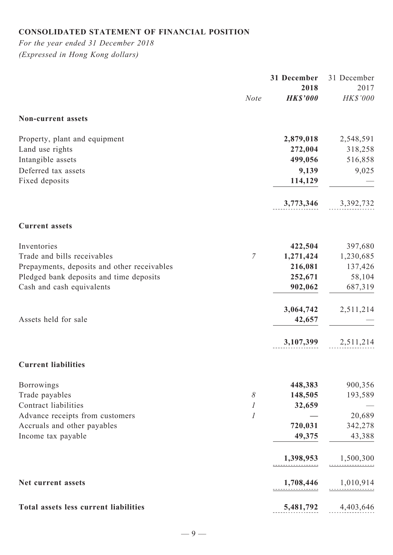# **Consolidated statement of financial position**

*For the year ended 31 December 2018 (Expressed in Hong Kong dollars)*

|                                              |                | 31 December     | 31 December |
|----------------------------------------------|----------------|-----------------|-------------|
|                                              |                | 2018            | 2017        |
|                                              | <b>Note</b>    | <b>HK\$'000</b> | HK\$'000    |
| Non-current assets                           |                |                 |             |
| Property, plant and equipment                |                | 2,879,018       | 2,548,591   |
| Land use rights                              |                | 272,004         | 318,258     |
| Intangible assets                            |                | 499,056         | 516,858     |
| Deferred tax assets                          |                | 9,139           | 9,025       |
| Fixed deposits                               |                | 114,129         |             |
|                                              |                | 3,773,346       | 3,392,732   |
| <b>Current assets</b>                        |                |                 |             |
| Inventories                                  |                | 422,504         | 397,680     |
| Trade and bills receivables                  | $\overline{7}$ | 1,271,424       | 1,230,685   |
| Prepayments, deposits and other receivables  |                | 216,081         | 137,426     |
| Pledged bank deposits and time deposits      |                | 252,671         | 58,104      |
| Cash and cash equivalents                    |                | 902,062         | 687,319     |
|                                              |                | 3,064,742       | 2,511,214   |
| Assets held for sale                         |                | 42,657          |             |
|                                              |                | 3,107,399       | 2,511,214   |
| <b>Current liabilities</b>                   |                |                 |             |
| <b>Borrowings</b>                            |                | 448,383         | 900,356     |
| Trade payables                               | $\delta$       | 148,505         | 193,589     |
| Contract liabilities                         | 1              | 32,659          |             |
| Advance receipts from customers              | 1              |                 | 20,689      |
| Accruals and other payables                  |                | 720,031         | 342,278     |
| Income tax payable                           |                | 49,375          | 43,388      |
|                                              |                | 1,398,953       | 1,500,300   |
| Net current assets                           |                | 1,708,446       | 1,010,914   |
| <b>Total assets less current liabilities</b> |                | 5,481,792       | 4,403,646   |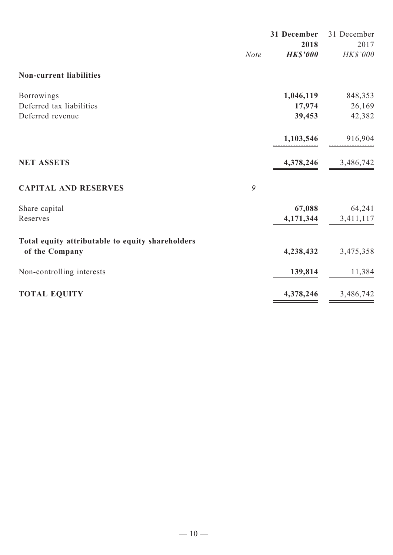|                                                  |             | 31 December     | 31 December |
|--------------------------------------------------|-------------|-----------------|-------------|
|                                                  |             | 2018            | 2017        |
|                                                  | <b>Note</b> | <b>HK\$'000</b> | HK\$'000    |
| <b>Non-current liabilities</b>                   |             |                 |             |
| <b>Borrowings</b>                                |             | 1,046,119       | 848,353     |
| Deferred tax liabilities                         |             | 17,974          | 26,169      |
| Deferred revenue                                 |             | 39,453          | 42,382      |
|                                                  |             | 1,103,546       | 916,904     |
| <b>NET ASSETS</b>                                |             | 4,378,246       | 3,486,742   |
| <b>CAPITAL AND RESERVES</b>                      | 9           |                 |             |
| Share capital                                    |             | 67,088          | 64,241      |
| Reserves                                         |             | 4,171,344       | 3,411,117   |
| Total equity attributable to equity shareholders |             |                 |             |
| of the Company                                   |             | 4,238,432       | 3,475,358   |
| Non-controlling interests                        |             | 139,814         | 11,384      |
| <b>TOTAL EQUITY</b>                              |             | 4,378,246       | 3,486,742   |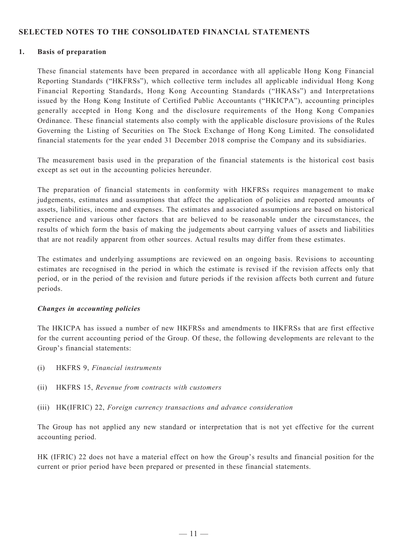### **SELECTED NOTES TO THE CONSOLIDATED FINANCIAL STATEMENTS**

#### **1. Basis of preparation**

These financial statements have been prepared in accordance with all applicable Hong Kong Financial Reporting Standards ("HKFRSs"), which collective term includes all applicable individual Hong Kong Financial Reporting Standards, Hong Kong Accounting Standards ("HKASs") and Interpretations issued by the Hong Kong Institute of Certified Public Accountants ("HKICPA"), accounting principles generally accepted in Hong Kong and the disclosure requirements of the Hong Kong Companies Ordinance. These financial statements also comply with the applicable disclosure provisions of the Rules Governing the Listing of Securities on The Stock Exchange of Hong Kong Limited. The consolidated financial statements for the year ended 31 December 2018 comprise the Company and its subsidiaries.

The measurement basis used in the preparation of the financial statements is the historical cost basis except as set out in the accounting policies hereunder.

The preparation of financial statements in conformity with HKFRSs requires management to make judgements, estimates and assumptions that affect the application of policies and reported amounts of assets, liabilities, income and expenses. The estimates and associated assumptions are based on historical experience and various other factors that are believed to be reasonable under the circumstances, the results of which form the basis of making the judgements about carrying values of assets and liabilities that are not readily apparent from other sources. Actual results may differ from these estimates.

The estimates and underlying assumptions are reviewed on an ongoing basis. Revisions to accounting estimates are recognised in the period in which the estimate is revised if the revision affects only that period, or in the period of the revision and future periods if the revision affects both current and future periods.

#### *Changes in accounting policies*

The HKICPA has issued a number of new HKFRSs and amendments to HKFRSs that are first effective for the current accounting period of the Group. Of these, the following developments are relevant to the Group's financial statements:

- (i) HKFRS 9, *Financial instruments*
- (ii) HKFRS 15, *Revenue from contracts with customers*
- (iii) HK(IFRIC) 22, *Foreign currency transactions and advance consideration*

The Group has not applied any new standard or interpretation that is not yet effective for the current accounting period.

HK (IFRIC) 22 does not have a material effect on how the Group's results and financial position for the current or prior period have been prepared or presented in these financial statements.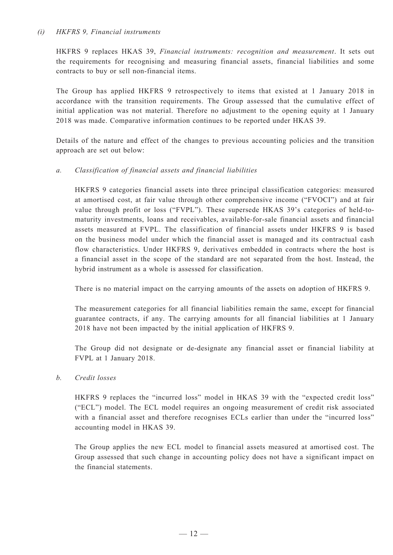#### *(i) HKFRS 9, Financial instruments*

HKFRS 9 replaces HKAS 39, *Financial instruments: recognition and measurement*. It sets out the requirements for recognising and measuring financial assets, financial liabilities and some contracts to buy or sell non-financial items.

The Group has applied HKFRS 9 retrospectively to items that existed at 1 January 2018 in accordance with the transition requirements. The Group assessed that the cumulative effect of initial application was not material. Therefore no adjustment to the opening equity at 1 January 2018 was made. Comparative information continues to be reported under HKAS 39.

Details of the nature and effect of the changes to previous accounting policies and the transition approach are set out below:

### *a. Classification of financial assets and financial liabilities*

HKFRS 9 categories financial assets into three principal classification categories: measured at amortised cost, at fair value through other comprehensive income ("FVOCI") and at fair value through profit or loss ("FVPL"). These supersede HKAS 39's categories of held-tomaturity investments, loans and receivables, available-for-sale financial assets and financial assets measured at FVPL. The classification of financial assets under HKFRS 9 is based on the business model under which the financial asset is managed and its contractual cash flow characteristics. Under HKFRS 9, derivatives embedded in contracts where the host is a financial asset in the scope of the standard are not separated from the host. Instead, the hybrid instrument as a whole is assessed for classification.

There is no material impact on the carrying amounts of the assets on adoption of HKFRS 9.

The measurement categories for all financial liabilities remain the same, except for financial guarantee contracts, if any. The carrying amounts for all financial liabilities at 1 January 2018 have not been impacted by the initial application of HKFRS 9.

The Group did not designate or de-designate any financial asset or financial liability at FVPL at 1 January 2018.

#### *b. Credit losses*

HKFRS 9 replaces the "incurred loss" model in HKAS 39 with the "expected credit loss" ("ECL") model. The ECL model requires an ongoing measurement of credit risk associated with a financial asset and therefore recognises ECLs earlier than under the "incurred loss" accounting model in HKAS 39.

The Group applies the new ECL model to financial assets measured at amortised cost. The Group assessed that such change in accounting policy does not have a significant impact on the financial statements.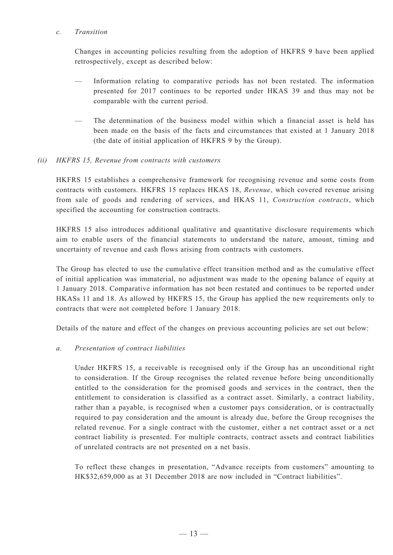#### *c. Transition*

Changes in accounting policies resulting from the adoption of HKFRS 9 have been applied retrospectively, except as described below:

- Information relating to comparative periods has not been restated. The information presented for 2017 continues to be reported under HKAS 39 and thus may not be comparable with the current period.
- The determination of the business model within which a financial asset is held has been made on the basis of the facts and circumstances that existed at 1 January 2018 (the date of initial application of HKFRS 9 by the Group).

### *(ii) HKFRS 15, Revenue from contracts with customers*

HKFRS 15 establishes a comprehensive framework for recognising revenue and some costs from contracts with customers. HKFRS 15 replaces HKAS 18, *Revenue*, which covered revenue arising from sale of goods and rendering of services, and HKAS 11, *Construction contracts*, which specified the accounting for construction contracts.

HKFRS 15 also introduces additional qualitative and quantitative disclosure requirements which aim to enable users of the financial statements to understand the nature, amount, timing and uncertainty of revenue and cash flows arising from contracts with customers.

The Group has elected to use the cumulative effect transition method and as the cumulative effect of initial application was immaterial, no adjustment was made to the opening balance of equity at 1 January 2018. Comparative information has not been restated and continues to be reported under HKASs 11 and 18. As allowed by HKFRS 15, the Group has applied the new requirements only to contracts that were not completed before 1 January 2018.

Details of the nature and effect of the changes on previous accounting policies are set out below:

#### *a. Presentation of contract liabilities*

Under HKFRS 15, a receivable is recognised only if the Group has an unconditional right to consideration. If the Group recognises the related revenue before being unconditionally entitled to the consideration for the promised goods and services in the contract, then the entitlement to consideration is classified as a contract asset. Similarly, a contract liability, rather than a payable, is recognised when a customer pays consideration, or is contractually required to pay consideration and the amount is already due, before the Group recognises the related revenue. For a single contract with the customer, either a net contract asset or a net contract liability is presented. For multiple contracts, contract assets and contract liabilities of unrelated contracts are not presented on a net basis.

To reflect these changes in presentation, "Advance receipts from customers" amounting to HK\$32,659,000 as at 31 December 2018 are now included in "Contract liabilities".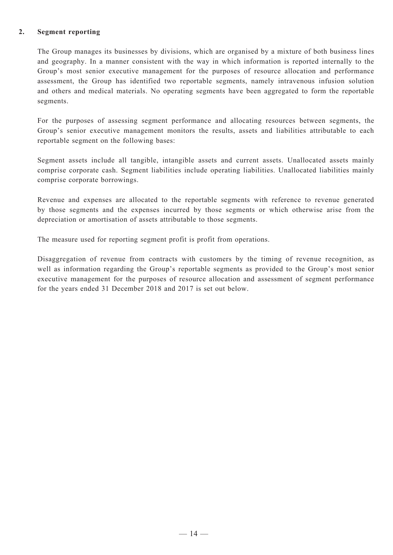#### **2. Segment reporting**

The Group manages its businesses by divisions, which are organised by a mixture of both business lines and geography. In a manner consistent with the way in which information is reported internally to the Group's most senior executive management for the purposes of resource allocation and performance assessment, the Group has identified two reportable segments, namely intravenous infusion solution and others and medical materials. No operating segments have been aggregated to form the reportable segments.

For the purposes of assessing segment performance and allocating resources between segments, the Group's senior executive management monitors the results, assets and liabilities attributable to each reportable segment on the following bases:

Segment assets include all tangible, intangible assets and current assets. Unallocated assets mainly comprise corporate cash. Segment liabilities include operating liabilities. Unallocated liabilities mainly comprise corporate borrowings.

Revenue and expenses are allocated to the reportable segments with reference to revenue generated by those segments and the expenses incurred by those segments or which otherwise arise from the depreciation or amortisation of assets attributable to those segments.

The measure used for reporting segment profit is profit from operations.

Disaggregation of revenue from contracts with customers by the timing of revenue recognition, as well as information regarding the Group's reportable segments as provided to the Group's most senior executive management for the purposes of resource allocation and assessment of segment performance for the years ended 31 December 2018 and 2017 is set out below.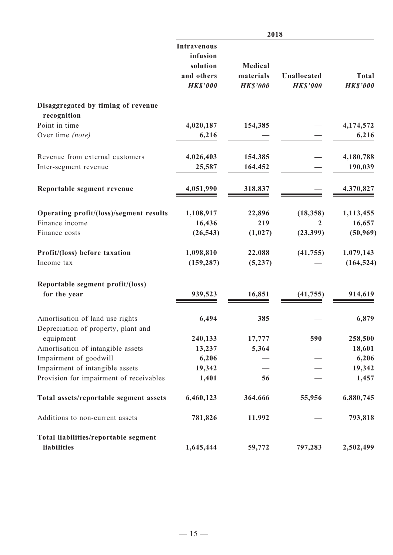|                                                                        | 2018                                                     |                      |                    |                 |
|------------------------------------------------------------------------|----------------------------------------------------------|----------------------|--------------------|-----------------|
|                                                                        | <b>Intravenous</b><br>infusion<br>solution<br>and others | Medical<br>materials | <b>Unallocated</b> | <b>Total</b>    |
|                                                                        | <b>HK\$'000</b>                                          | <b>HK\$'000</b>      | <b>HK\$'000</b>    | <b>HK\$'000</b> |
| Disaggregated by timing of revenue<br>recognition                      |                                                          |                      |                    |                 |
| Point in time                                                          | 4,020,187                                                | 154,385              |                    | 4,174,572       |
| Over time (note)                                                       | 6,216                                                    |                      |                    | 6,216           |
| Revenue from external customers                                        | 4,026,403                                                | 154,385              |                    | 4,180,788       |
| Inter-segment revenue                                                  | 25,587                                                   | 164,452              |                    | 190,039         |
| Reportable segment revenue                                             | 4,051,990                                                | 318,837              |                    | 4,370,827       |
| Operating profit/(loss)/segment results                                | 1,108,917                                                | 22,896               | (18, 358)          | 1,113,455       |
| Finance income                                                         | 16,436                                                   | 219                  | 2                  | 16,657          |
| Finance costs                                                          | (26, 543)                                                | (1,027)              | (23,399)           | (50, 969)       |
| Profit/(loss) before taxation                                          | 1,098,810                                                | 22,088               | (41, 755)          | 1,079,143       |
| Income tax                                                             | (159, 287)                                               | (5,237)              |                    | (164, 524)      |
| Reportable segment profit/(loss)                                       |                                                          |                      |                    |                 |
| for the year                                                           | 939,523                                                  | 16,851               | (41, 755)          | 914,619         |
| Amortisation of land use rights<br>Depreciation of property, plant and | 6,494                                                    | 385                  |                    | 6,879           |
| equipment                                                              | 240,133                                                  | 17,777               | 590                | 258,500         |
| Amortisation of intangible assets                                      | 13,237                                                   | 5,364                |                    | 18,601          |
| Impairment of goodwill                                                 | 6,206                                                    |                      |                    | 6,206           |
| Impairment of intangible assets                                        | 19,342                                                   |                      |                    | 19,342          |
| Provision for impairment of receivables                                | 1,401                                                    | 56                   |                    | 1,457           |
| Total assets/reportable segment assets                                 | 6,460,123                                                | 364,666              | 55,956             | 6,880,745       |
| Additions to non-current assets                                        | 781,826                                                  | 11,992               |                    | 793,818         |
| Total liabilities/reportable segment<br>liabilities                    | 1,645,444                                                | 59,772               | 797,283            | 2,502,499       |
|                                                                        |                                                          |                      |                    |                 |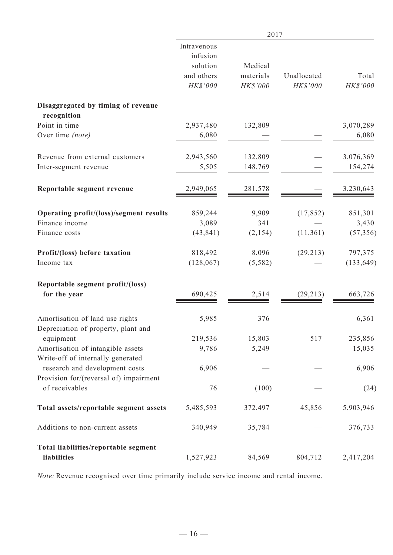|                                                                          | 2017                                                          |                                  |                         |                   |
|--------------------------------------------------------------------------|---------------------------------------------------------------|----------------------------------|-------------------------|-------------------|
|                                                                          | Intravenous<br>infusion<br>solution<br>and others<br>HK\$'000 | Medical<br>materials<br>HK\$'000 | Unallocated<br>HK\$'000 | Total<br>HK\$'000 |
| Disaggregated by timing of revenue<br>recognition                        |                                                               |                                  |                         |                   |
| Point in time                                                            | 2,937,480                                                     | 132,809                          |                         | 3,070,289         |
| Over time (note)                                                         | 6,080                                                         |                                  |                         | 6,080             |
| Revenue from external customers                                          | 2,943,560                                                     | 132,809                          |                         | 3,076,369         |
| Inter-segment revenue                                                    | 5,505                                                         | 148,769                          |                         | 154,274           |
| Reportable segment revenue                                               | 2,949,065                                                     | 281,578                          |                         | 3,230,643         |
| Operating profit/(loss)/segment results                                  | 859,244                                                       | 9,909                            | (17, 852)               | 851,301           |
| Finance income                                                           | 3,089                                                         | 341                              |                         | 3,430             |
| Finance costs                                                            | (43, 841)                                                     | (2,154)                          | (11,361)                | (57, 356)         |
| Profit/(loss) before taxation                                            | 818,492                                                       | 8,096                            | (29,213)                | 797,375           |
| Income tax                                                               | (128, 067)                                                    | (5, 582)                         |                         | (133, 649)        |
| Reportable segment profit/(loss)<br>for the year                         | 690,425                                                       | 2,514                            | (29, 213)               | 663,726           |
|                                                                          |                                                               |                                  |                         |                   |
| Amortisation of land use rights<br>Depreciation of property, plant and   | 5,985                                                         | 376                              |                         | 6,361             |
| equipment                                                                | 219,536                                                       | 15,803                           | 517                     | 235,856           |
| Amortisation of intangible assets<br>Write-off of internally generated   | 9,786                                                         | 5,249                            |                         | 15,035            |
| research and development costs<br>Provision for/(reversal of) impairment | 6,906                                                         |                                  |                         | 6,906             |
| of receivables                                                           | 76                                                            | (100)                            |                         | (24)              |
| Total assets/reportable segment assets                                   | 5,485,593                                                     | 372,497                          | 45,856                  | 5,903,946         |
| Additions to non-current assets                                          | 340,949                                                       | 35,784                           |                         | 376,733           |
| Total liabilities/reportable segment<br>liabilities                      | 1,527,923                                                     | 84,569                           | 804,712                 | 2,417,204         |

*Note:* Revenue recognised over time primarily include service income and rental income.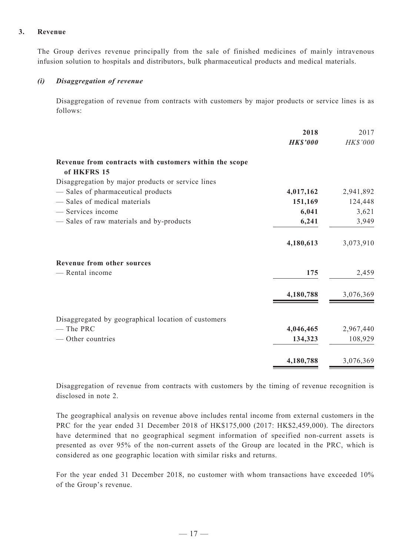#### **3. Revenue**

The Group derives revenue principally from the sale of finished medicines of mainly intravenous infusion solution to hospitals and distributors, bulk pharmaceutical products and medical materials.

#### *(i) Disaggregation of revenue*

Disaggregation of revenue from contracts with customers by major products or service lines is as follows:

| 2018            | 2017                 |
|-----------------|----------------------|
| <b>HK\$'000</b> | HK\$'000             |
|                 |                      |
|                 |                      |
|                 | 2,941,892            |
|                 | 124,448              |
| 6,041           | 3,621                |
| 6,241           | 3,949                |
| 4,180,613       | 3,073,910            |
|                 |                      |
| 175             | 2,459                |
| 4,180,788       | 3,076,369            |
|                 |                      |
| 4,046,465       | 2,967,440            |
| 134,323         | 108,929              |
| 4,180,788       | 3,076,369            |
|                 | 4,017,162<br>151,169 |

Disaggregation of revenue from contracts with customers by the timing of revenue recognition is disclosed in note 2.

The geographical analysis on revenue above includes rental income from external customers in the PRC for the year ended 31 December 2018 of HK\$175,000 (2017: HK\$2,459,000). The directors have determined that no geographical segment information of specified non-current assets is presented as over 95% of the non-current assets of the Group are located in the PRC, which is considered as one geographic location with similar risks and returns.

For the year ended 31 December 2018, no customer with whom transactions have exceeded 10% of the Group's revenue.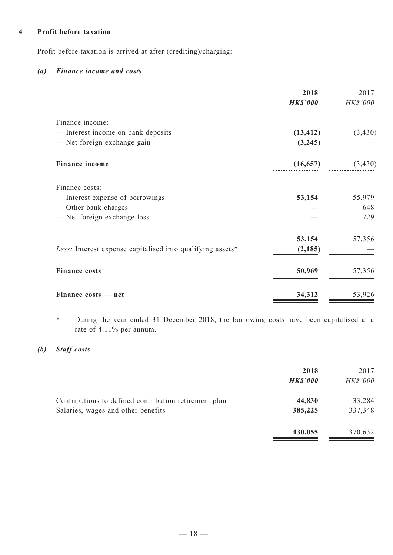### **4 Profit before taxation**

Profit before taxation is arrived at after (crediting)/charging:

### *(a) Finance income and costs*

|                                                            | 2018            | 2017     |
|------------------------------------------------------------|-----------------|----------|
|                                                            | <b>HK\$'000</b> | HK\$'000 |
| Finance income:                                            |                 |          |
| - Interest income on bank deposits                         | (13, 412)       | (3, 430) |
| - Net foreign exchange gain                                | (3,245)         |          |
| <b>Finance income</b>                                      | (16, 657)       | (3, 430) |
| Finance costs:                                             |                 |          |
| — Interest expense of borrowings                           | 53,154          | 55,979   |
| — Other bank charges                                       |                 | 648      |
| - Net foreign exchange loss                                |                 | 729      |
|                                                            | 53,154          | 57,356   |
| Less: Interest expense capitalised into qualifying assets* | (2, 185)        |          |
| <b>Finance costs</b>                                       | 50,969          | 57,356   |
| Finance costs — net                                        | 34,312          | 53,926   |

\* During the year ended 31 December 2018, the borrowing costs have been capitalised at a rate of 4.11% per annum.

## *(b) Staff costs*

|                                                       | 2018            | 2017     |
|-------------------------------------------------------|-----------------|----------|
|                                                       | <b>HK\$'000</b> | HK\$'000 |
| Contributions to defined contribution retirement plan | 44,830          | 33,284   |
| Salaries, wages and other benefits                    | 385,225         | 337,348  |
|                                                       | 430,055         | 370,632  |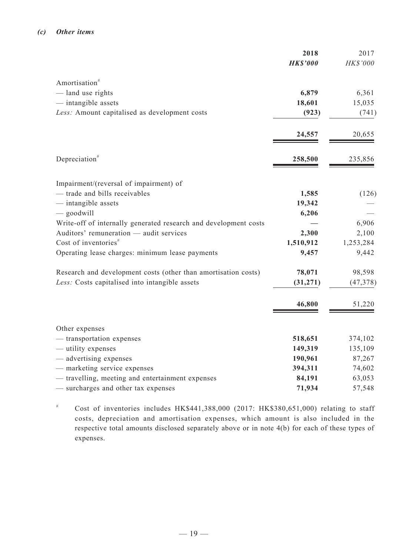|                                                                  | 2018            | 2017      |
|------------------------------------------------------------------|-----------------|-----------|
|                                                                  | <b>HK\$'000</b> | HK\$'000  |
| Amortisation <sup>#</sup>                                        |                 |           |
| — land use rights                                                | 6,879           | 6,361     |
| - intangible assets                                              | 18,601          | 15,035    |
| Less: Amount capitalised as development costs                    | (923)           | (741)     |
|                                                                  | 24,557          | 20,655    |
| Depreciation <sup>#</sup>                                        | 258,500         | 235,856   |
| Impairment/(reversal of impairment) of                           |                 |           |
| - trade and bills receivables                                    | 1,585           | (126)     |
| - intangible assets                                              | 19,342          |           |
| $-$ goodwill                                                     | 6,206           |           |
| Write-off of internally generated research and development costs |                 | 6,906     |
| Auditors' remuneration - audit services                          | 2,300           | 2,100     |
| Cost of inventories $*$                                          | 1,510,912       | 1,253,284 |
| Operating lease charges: minimum lease payments                  | 9,457           | 9,442     |
| Research and development costs (other than amortisation costs)   | 78,071          | 98,598    |
| Less: Costs capitalised into intangible assets                   | (31, 271)       | (47, 378) |
|                                                                  | 46,800          | 51,220    |
| Other expenses                                                   |                 |           |
| - transportation expenses                                        | 518,651         | 374,102   |
| — utility expenses                                               | 149,319         | 135,109   |
| — advertising expenses                                           | 190,961         | 87,267    |
| - marketing service expenses                                     | 394,311         | 74,602    |
| - travelling, meeting and entertainment expenses                 | 84,191          | 63,053    |
| - surcharges and other tax expenses                              | 71,934          | 57,548    |

# Cost of inventories includes HK\$441,388,000 (2017: HK\$380,651,000) relating to staff costs, depreciation and amortisation expenses, which amount is also included in the respective total amounts disclosed separately above or in note 4(b) for each of these types of expenses.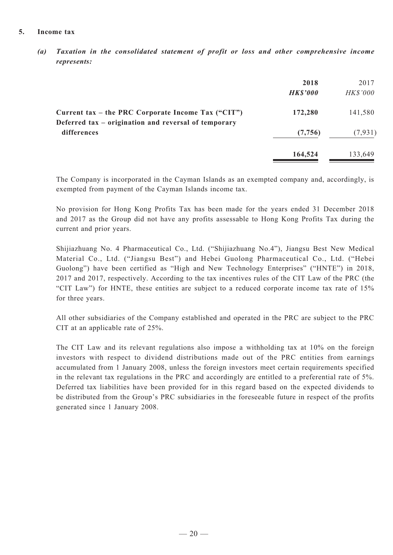#### **5. Income tax**

*(a) Taxation in the consolidated statement of profit or loss and other comprehensive income represents:*

|                                                                                                            | 2018<br><b>HK\$'000</b> | 2017<br>HK\$'000 |
|------------------------------------------------------------------------------------------------------------|-------------------------|------------------|
| Current tax – the PRC Corporate Income Tax ("CIT")<br>Deferred tax – origination and reversal of temporary | 172,280                 | 141,580          |
| differences                                                                                                | (7,756)                 | (7, 931)         |
|                                                                                                            | 164,524                 | 133,649          |

The Company is incorporated in the Cayman Islands as an exempted company and, accordingly, is exempted from payment of the Cayman Islands income tax.

No provision for Hong Kong Profits Tax has been made for the years ended 31 December 2018 and 2017 as the Group did not have any profits assessable to Hong Kong Profits Tax during the current and prior years.

Shijiazhuang No. 4 Pharmaceutical Co., Ltd. ("Shijiazhuang No.4"), Jiangsu Best New Medical Material Co., Ltd. ("Jiangsu Best") and Hebei Guolong Pharmaceutical Co., Ltd. ("Hebei Guolong") have been certified as "High and New Technology Enterprises" ("HNTE") in 2018, 2017 and 2017, respectively. According to the tax incentives rules of the CIT Law of the PRC (the "CIT Law") for HNTE, these entities are subject to a reduced corporate income tax rate of 15% for three years.

All other subsidiaries of the Company established and operated in the PRC are subject to the PRC CIT at an applicable rate of 25%.

The CIT Law and its relevant regulations also impose a withholding tax at 10% on the foreign investors with respect to dividend distributions made out of the PRC entities from earnings accumulated from 1 January 2008, unless the foreign investors meet certain requirements specified in the relevant tax regulations in the PRC and accordingly are entitled to a preferential rate of 5%. Deferred tax liabilities have been provided for in this regard based on the expected dividends to be distributed from the Group's PRC subsidiaries in the foreseeable future in respect of the profits generated since 1 January 2008.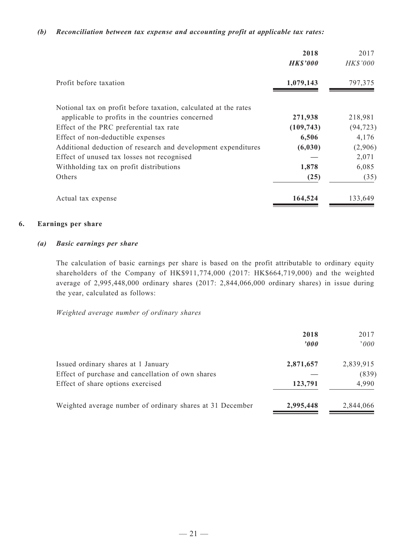#### *(b) Reconciliation between tax expense and accounting profit at applicable tax rates:*

|                                                                 | 2018<br><b>HK\$'000</b> | 2017<br><b>HK\$'000</b> |
|-----------------------------------------------------------------|-------------------------|-------------------------|
| Profit before taxation                                          | 1,079,143               | 797,375                 |
| Notional tax on profit before taxation, calculated at the rates |                         |                         |
| applicable to profits in the countries concerned                | 271,938                 | 218,981                 |
| Effect of the PRC preferential tax rate                         | (109, 743)              | (94, 723)               |
| Effect of non-deductible expenses                               | 6,506                   | 4,176                   |
| Additional deduction of research and development expenditures   | (6, 030)                | (2,906)                 |
| Effect of unused tax losses not recognised                      |                         | 2,071                   |
| Withholding tax on profit distributions                         | 1,878                   | 6,085                   |
| Others                                                          | (25)                    | (35)                    |
| Actual tax expense                                              | 164,524                 | 133,649                 |

#### **6. Earnings per share**

#### *(a) Basic earnings per share*

The calculation of basic earnings per share is based on the profit attributable to ordinary equity shareholders of the Company of HK\$911,774,000 (2017: HK\$664,719,000) and the weighted average of 2,995,448,000 ordinary shares (2017: 2,844,066,000 ordinary shares) in issue during the year, calculated as follows:

*Weighted average number of ordinary shares*

|                                                                                          | 2018<br>2000 | 2017<br>$000^\circ$ |
|------------------------------------------------------------------------------------------|--------------|---------------------|
| Issued ordinary shares at 1 January<br>Effect of purchase and cancellation of own shares | 2,871,657    | 2,839,915<br>(839)  |
| Effect of share options exercised                                                        | 123,791      | 4,990               |
| Weighted average number of ordinary shares at 31 December                                | 2,995,448    | 2,844,066           |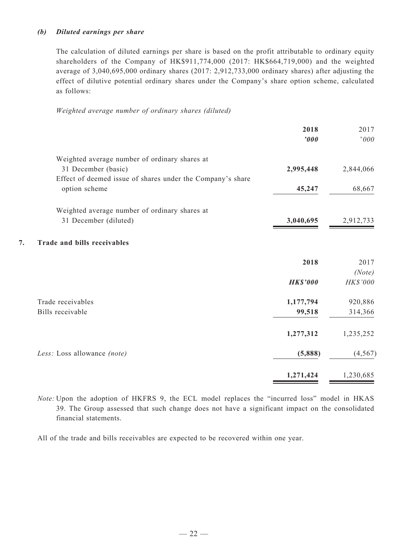#### *(b) Diluted earnings per share*

The calculation of diluted earnings per share is based on the profit attributable to ordinary equity shareholders of the Company of HK\$911,774,000 (2017: HK\$664,719,000) and the weighted average of 3,040,695,000 ordinary shares (2017: 2,912,733,000 ordinary shares) after adjusting the effect of dilutive potential ordinary shares under the Company's share option scheme, calculated as follows:

*Weighted average number of ordinary shares (diluted)*

|                                                            | 2018<br>'000    | 2017<br>000 |
|------------------------------------------------------------|-----------------|-------------|
| Weighted average number of ordinary shares at              |                 |             |
| 31 December (basic)                                        | 2,995,448       | 2,844,066   |
| Effect of deemed issue of shares under the Company's share |                 |             |
| option scheme                                              | 45,247          | 68,667      |
| Weighted average number of ordinary shares at              |                 |             |
| 31 December (diluted)                                      | 3,040,695       | 2,912,733   |
| 7.<br>Trade and bills receivables                          |                 |             |
|                                                            | 2018            | 2017        |
|                                                            |                 | (Note)      |
|                                                            | <b>HK\$'000</b> | HK\$'000    |
| Trade receivables                                          | 1,177,794       | 920,886     |
| Bills receivable                                           | 99,518          | 314,366     |
|                                                            | 1,277,312       | 1,235,252   |
| Less: Loss allowance (note)                                | (5,888)         | (4, 567)    |
|                                                            | 1,271,424       | 1,230,685   |

*Note:* Upon the adoption of HKFRS 9, the ECL model replaces the "incurred loss" model in HKAS 39. The Group assessed that such change does not have a significant impact on the consolidated financial statements.

All of the trade and bills receivables are expected to be recovered within one year.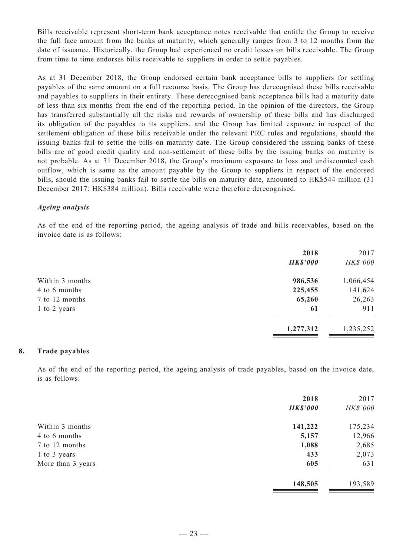Bills receivable represent short-term bank acceptance notes receivable that entitle the Group to receive the full face amount from the banks at maturity, which generally ranges from 3 to 12 months from the date of issuance. Historically, the Group had experienced no credit losses on bills receivable. The Group from time to time endorses bills receivable to suppliers in order to settle payables.

As at 31 December 2018, the Group endorsed certain bank acceptance bills to suppliers for settling payables of the same amount on a full recourse basis. The Group has derecognised these bills receivable and payables to suppliers in their entirety. These derecognised bank acceptance bills had a maturity date of less than six months from the end of the reporting period. In the opinion of the directors, the Group has transferred substantially all the risks and rewards of ownership of these bills and has discharged its obligation of the payables to its suppliers, and the Group has limited exposure in respect of the settlement obligation of these bills receivable under the relevant PRC rules and regulations, should the issuing banks fail to settle the bills on maturity date. The Group considered the issuing banks of these bills are of good credit quality and non-settlement of these bills by the issuing banks on maturity is not probable. As at 31 December 2018, the Group's maximum exposure to loss and undiscounted cash outflow, which is same as the amount payable by the Group to suppliers in respect of the endorsed bills, should the issuing banks fail to settle the bills on maturity date, amounted to HK\$544 million (31 December 2017: HK\$384 million). Bills receivable were therefore derecognised.

#### *Ageing analysis*

As of the end of the reporting period, the ageing analysis of trade and bills receivables, based on the invoice date is as follows:

| 2018<br><b>HK\$'000</b> | 2017<br>HK\$'000 |
|-------------------------|------------------|
| 986,536                 | 1,066,454        |
| 225,455                 | 141,624          |
| 65,260                  | 26,263           |
| 61                      | 911              |
| 1,277,312               | 1,235,252        |
|                         |                  |

#### **8. Trade payables**

As of the end of the reporting period, the ageing analysis of trade payables, based on the invoice date, is as follows:

|                   | 2018            | 2017     |
|-------------------|-----------------|----------|
|                   | <b>HK\$'000</b> | HK\$'000 |
| Within 3 months   | 141,222         | 175,234  |
| 4 to 6 months     | 5,157           | 12,966   |
| 7 to 12 months    | 1,088           | 2,685    |
| 1 to 3 years      | 433             | 2,073    |
| More than 3 years | 605             | 631      |
|                   | 148,505         | 193,589  |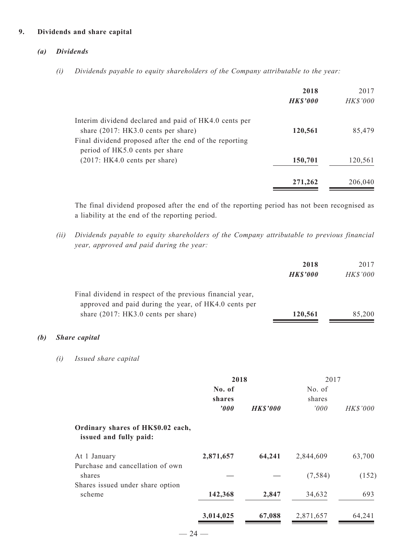#### **9. Dividends and share capital**

#### *(a) Dividends*

*(i) Dividends payable to equity shareholders of the Company attributable to the year:*

|                                                        | 2018            | 2017            |
|--------------------------------------------------------|-----------------|-----------------|
|                                                        | <b>HK\$'000</b> | <b>HK\$'000</b> |
| Interim dividend declared and paid of HK4.0 cents per  |                 |                 |
| share $(2017:HK3.0$ cents per share)                   | 120,561         | 85,479          |
| Final dividend proposed after the end of the reporting |                 |                 |
| period of HK5.0 cents per share                        |                 |                 |
| (2017:HK4.0 cents per share)                           | 150,701         | 120,561         |
|                                                        | 271,262         | 206,040         |

The final dividend proposed after the end of the reporting period has not been recognised as a liability at the end of the reporting period.

*(ii) Dividends payable to equity shareholders of the Company attributable to previous financial year, approved and paid during the year:*

|     |     |                                                                                                                                                           |           |                 | 2018<br><b>HK\$'000</b> | 2017<br>HK\$'000 |
|-----|-----|-----------------------------------------------------------------------------------------------------------------------------------------------------------|-----------|-----------------|-------------------------|------------------|
|     |     | Final dividend in respect of the previous financial year,<br>approved and paid during the year, of HK4.0 cents per<br>share (2017: HK3.0 cents per share) |           |                 | 120,561                 | 85,200           |
| (b) |     | <b>Share</b> capital                                                                                                                                      |           |                 |                         |                  |
|     | (i) | Issued share capital                                                                                                                                      |           |                 |                         |                  |
|     |     |                                                                                                                                                           | 2018      |                 | 2017                    |                  |
|     |     |                                                                                                                                                           | No. of    |                 | No. of                  |                  |
|     |     |                                                                                                                                                           | shares    |                 | shares                  |                  |
|     |     |                                                                                                                                                           | '000      | <b>HK\$'000</b> | 000'                    | HK\$'000         |
|     |     | Ordinary shares of HK\$0.02 each,<br>issued and fully paid:                                                                                               |           |                 |                         |                  |
|     |     | At 1 January                                                                                                                                              | 2,871,657 | 64,241          | 2,844,609               | 63,700           |
|     |     | Purchase and cancellation of own                                                                                                                          |           |                 |                         |                  |
|     |     | shares                                                                                                                                                    |           |                 | (7, 584)                | (152)            |

scheme **142,368 2,847** 34,632 693

**3,014,025 67,088** 2,871,657 64,241

Shares issued under share option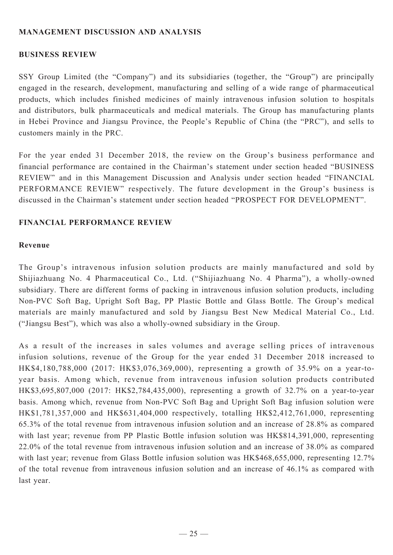## **MANAGEMENT DISCUSSION AND ANALYSIS**

### **BUSINESS REVIEW**

SSY Group Limited (the "Company") and its subsidiaries (together, the "Group") are principally engaged in the research, development, manufacturing and selling of a wide range of pharmaceutical products, which includes finished medicines of mainly intravenous infusion solution to hospitals and distributors, bulk pharmaceuticals and medical materials. The Group has manufacturing plants in Hebei Province and Jiangsu Province, the People's Republic of China (the "PRC"), and sells to customers mainly in the PRC.

For the year ended 31 December 2018, the review on the Group's business performance and financial performance are contained in the Chairman's statement under section headed "BUSINESS REVIEW" and in this Management Discussion and Analysis under section headed "FINANCIAL PERFORMANCE REVIEW" respectively. The future development in the Group's business is discussed in the Chairman's statement under section headed "PROSPECT FOR DEVELOPMENT".

### **Financial performance review**

#### **Revenue**

The Group's intravenous infusion solution products are mainly manufactured and sold by Shijiazhuang No. 4 Pharmaceutical Co., Ltd. ("Shijiazhuang No. 4 Pharma"), a wholly-owned subsidiary. There are different forms of packing in intravenous infusion solution products, including Non-PVC Soft Bag, Upright Soft Bag, PP Plastic Bottle and Glass Bottle. The Group's medical materials are mainly manufactured and sold by Jiangsu Best New Medical Material Co., Ltd. ("Jiangsu Best"), which was also a wholly-owned subsidiary in the Group.

As a result of the increases in sales volumes and average selling prices of intravenous infusion solutions, revenue of the Group for the year ended 31 December 2018 increased to HK\$4,180,788,000 (2017: HK\$3,076,369,000), representing a growth of 35.9% on a year-toyear basis. Among which, revenue from intravenous infusion solution products contributed HK\$3,695,807,000 (2017: HK\$2,784,435,000), representing a growth of 32.7% on a year-to-year basis. Among which, revenue from Non-PVC Soft Bag and Upright Soft Bag infusion solution were HK\$1,781,357,000 and HK\$631,404,000 respectively, totalling HK\$2,412,761,000, representing 65.3% of the total revenue from intravenous infusion solution and an increase of 28.8% as compared with last year; revenue from PP Plastic Bottle infusion solution was HK\$814,391,000, representing 22.0% of the total revenue from intravenous infusion solution and an increase of 38.0% as compared with last year; revenue from Glass Bottle infusion solution was HK\$468,655,000, representing 12.7% of the total revenue from intravenous infusion solution and an increase of 46.1% as compared with last year.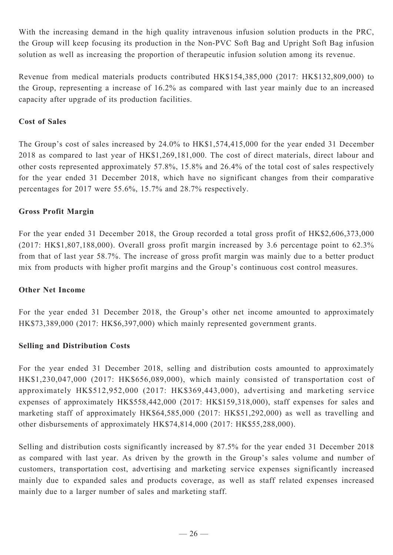With the increasing demand in the high quality intravenous infusion solution products in the PRC, the Group will keep focusing its production in the Non-PVC Soft Bag and Upright Soft Bag infusion solution as well as increasing the proportion of therapeutic infusion solution among its revenue.

Revenue from medical materials products contributed HK\$154,385,000 (2017: HK\$132,809,000) to the Group, representing a increase of 16.2% as compared with last year mainly due to an increased capacity after upgrade of its production facilities.

## **Cost of Sales**

The Group's cost of sales increased by 24.0% to HK\$1,574,415,000 for the year ended 31 December 2018 as compared to last year of HK\$1,269,181,000. The cost of direct materials, direct labour and other costs represented approximately 57.8%, 15.8% and 26.4% of the total cost of sales respectively for the year ended 31 December 2018, which have no significant changes from their comparative percentages for 2017 were 55.6%, 15.7% and 28.7% respectively.

## **Gross Profit Margin**

For the year ended 31 December 2018, the Group recorded a total gross profit of HK\$2,606,373,000 (2017: HK\$1,807,188,000). Overall gross profit margin increased by 3.6 percentage point to 62.3% from that of last year 58.7%. The increase of gross profit margin was mainly due to a better product mix from products with higher profit margins and the Group's continuous cost control measures.

### **Other Net Income**

For the year ended 31 December 2018, the Group's other net income amounted to approximately HK\$73,389,000 (2017: HK\$6,397,000) which mainly represented government grants.

## **Selling and Distribution Costs**

For the year ended 31 December 2018, selling and distribution costs amounted to approximately HK\$1,230,047,000 (2017: HK\$656,089,000), which mainly consisted of transportation cost of approximately HK\$512,952,000 (2017: HK\$369,443,000), advertising and marketing service expenses of approximately HK\$558,442,000 (2017: HK\$159,318,000), staff expenses for sales and marketing staff of approximately HK\$64,585,000 (2017: HK\$51,292,000) as well as travelling and other disbursements of approximately HK\$74,814,000 (2017: HK\$55,288,000).

Selling and distribution costs significantly increased by 87.5% for the year ended 31 December 2018 as compared with last year. As driven by the growth in the Group's sales volume and number of customers, transportation cost, advertising and marketing service expenses significantly increased mainly due to expanded sales and products coverage, as well as staff related expenses increased mainly due to a larger number of sales and marketing staff.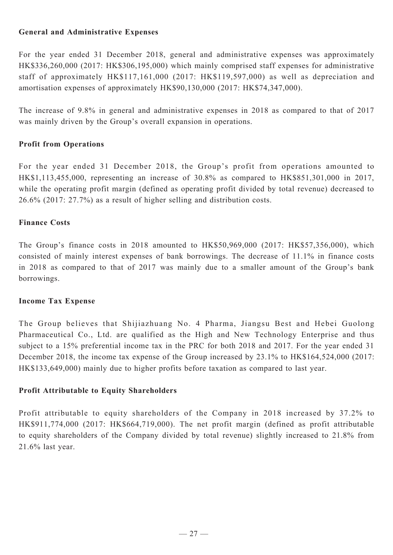## **General and Administrative Expenses**

For the year ended 31 December 2018, general and administrative expenses was approximately HK\$336,260,000 (2017: HK\$306,195,000) which mainly comprised staff expenses for administrative staff of approximately HK\$117,161,000 (2017: HK\$119,597,000) as well as depreciation and amortisation expenses of approximately HK\$90,130,000 (2017: HK\$74,347,000).

The increase of 9.8% in general and administrative expenses in 2018 as compared to that of 2017 was mainly driven by the Group's overall expansion in operations.

## **Profit from Operations**

For the year ended 31 December 2018, the Group's profit from operations amounted to HK\$1,113,455,000, representing an increase of 30.8% as compared to HK\$851,301,000 in 2017, while the operating profit margin (defined as operating profit divided by total revenue) decreased to 26.6% (2017: 27.7%) as a result of higher selling and distribution costs.

### **Finance Costs**

The Group's finance costs in 2018 amounted to HK\$50,969,000 (2017: HK\$57,356,000), which consisted of mainly interest expenses of bank borrowings. The decrease of 11.1% in finance costs in 2018 as compared to that of 2017 was mainly due to a smaller amount of the Group's bank borrowings.

### **Income Tax Expense**

The Group believes that Shijiazhuang No. 4 Pharma, Jiangsu Best and Hebei Guolong Pharmaceutical Co., Ltd. are qualified as the High and New Technology Enterprise and thus subject to a 15% preferential income tax in the PRC for both 2018 and 2017. For the year ended 31 December 2018, the income tax expense of the Group increased by 23.1% to HK\$164,524,000 (2017: HK\$133,649,000) mainly due to higher profits before taxation as compared to last year.

## **Profit Attributable to Equity Shareholders**

Profit attributable to equity shareholders of the Company in 2018 increased by 37.2% to HK\$911,774,000 (2017: HK\$664,719,000). The net profit margin (defined as profit attributable to equity shareholders of the Company divided by total revenue) slightly increased to 21.8% from 21.6% last year.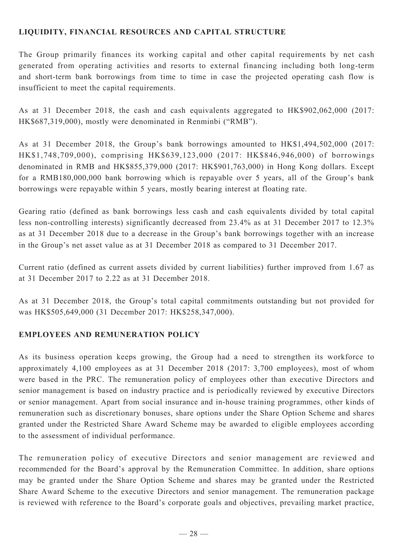## **LIQUIDITY, FINANCIAL RESOURCES and capital structure**

The Group primarily finances its working capital and other capital requirements by net cash generated from operating activities and resorts to external financing including both long-term and short-term bank borrowings from time to time in case the projected operating cash flow is insufficient to meet the capital requirements.

As at 31 December 2018, the cash and cash equivalents aggregated to HK\$902,062,000 (2017: HK\$687,319,000), mostly were denominated in Renminbi ("RMB").

As at 31 December 2018, the Group's bank borrowings amounted to HK\$1,494,502,000 (2017: HK\$1,748,709,000), comprising HK\$639,123,000 (2017: HK\$846,946,000) of borrowings denominated in RMB and HK\$855,379,000 (2017: HK\$901,763,000) in Hong Kong dollars. Except for a RMB180,000,000 bank borrowing which is repayable over 5 years, all of the Group's bank borrowings were repayable within 5 years, mostly bearing interest at floating rate.

Gearing ratio (defined as bank borrowings less cash and cash equivalents divided by total capital less non-controlling interests) significantly decreased from 23.4% as at 31 December 2017 to 12.3% as at 31 December 2018 due to a decrease in the Group's bank borrowings together with an increase in the Group's net asset value as at 31 December 2018 as compared to 31 December 2017.

Current ratio (defined as current assets divided by current liabilities) further improved from 1.67 as at 31 December 2017 to 2.22 as at 31 December 2018.

As at 31 December 2018, the Group's total capital commitments outstanding but not provided for was HK\$505,649,000 (31 December 2017: HK\$258,347,000).

## **EMPLOYEES AND REMUNERATION POLICY**

As its business operation keeps growing, the Group had a need to strengthen its workforce to approximately 4,100 employees as at 31 December 2018 (2017: 3,700 employees), most of whom were based in the PRC. The remuneration policy of employees other than executive Directors and senior management is based on industry practice and is periodically reviewed by executive Directors or senior management. Apart from social insurance and in-house training programmes, other kinds of remuneration such as discretionary bonuses, share options under the Share Option Scheme and shares granted under the Restricted Share Award Scheme may be awarded to eligible employees according to the assessment of individual performance.

The remuneration policy of executive Directors and senior management are reviewed and recommended for the Board's approval by the Remuneration Committee. In addition, share options may be granted under the Share Option Scheme and shares may be granted under the Restricted Share Award Scheme to the executive Directors and senior management. The remuneration package is reviewed with reference to the Board's corporate goals and objectives, prevailing market practice,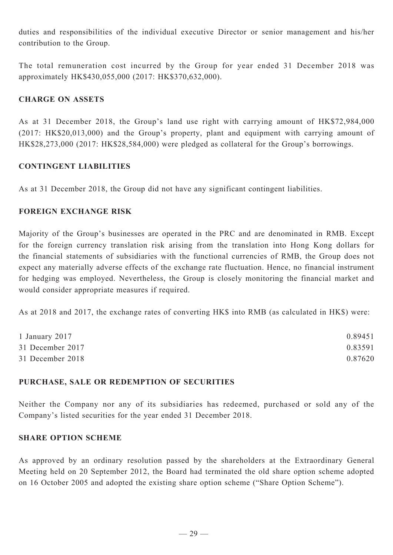duties and responsibilities of the individual executive Director or senior management and his/her contribution to the Group.

The total remuneration cost incurred by the Group for year ended 31 December 2018 was approximately HK\$430,055,000 (2017: HK\$370,632,000).

## **Charge on ASSETS**

As at 31 December 2018, the Group's land use right with carrying amount of HK\$72,984,000 (2017: HK\$20,013,000) and the Group's property, plant and equipment with carrying amount of HK\$28,273,000 (2017: HK\$28,584,000) were pledged as collateral for the Group's borrowings.

### **CONTINGENT LIABILITIES**

As at 31 December 2018, the Group did not have any significant contingent liabilities.

## **FOREIGN EXCHANGE RISK**

Majority of the Group's businesses are operated in the PRC and are denominated in RMB. Except for the foreign currency translation risk arising from the translation into Hong Kong dollars for the financial statements of subsidiaries with the functional currencies of RMB, the Group does not expect any materially adverse effects of the exchange rate fluctuation. Hence, no financial instrument for hedging was employed. Nevertheless, the Group is closely monitoring the financial market and would consider appropriate measures if required.

As at 2018 and 2017, the exchange rates of converting HK\$ into RMB (as calculated in HK\$) were:

| 1 January 2017   | 0.89451 |
|------------------|---------|
| 31 December 2017 | 0.83591 |
| 31 December 2018 | 0.87620 |

### **PURCHASE, SALE OR REDEMPTION OF SECURITIES**

Neither the Company nor any of its subsidiaries has redeemed, purchased or sold any of the Company's listed securities for the year ended 31 December 2018.

## **SHARE OPTION SCHEME**

As approved by an ordinary resolution passed by the shareholders at the Extraordinary General Meeting held on 20 September 2012, the Board had terminated the old share option scheme adopted on 16 October 2005 and adopted the existing share option scheme ("Share Option Scheme").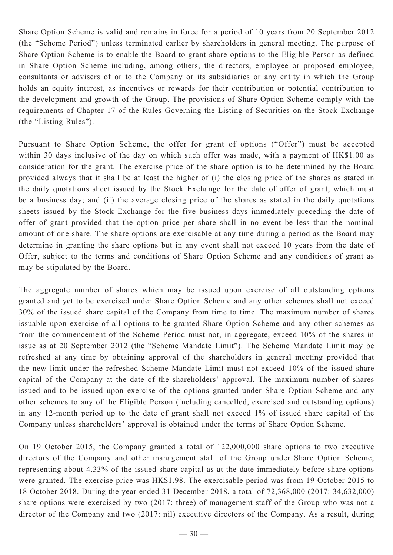Share Option Scheme is valid and remains in force for a period of 10 years from 20 September 2012 (the "Scheme Period") unless terminated earlier by shareholders in general meeting. The purpose of Share Option Scheme is to enable the Board to grant share options to the Eligible Person as defined in Share Option Scheme including, among others, the directors, employee or proposed employee, consultants or advisers of or to the Company or its subsidiaries or any entity in which the Group holds an equity interest, as incentives or rewards for their contribution or potential contribution to the development and growth of the Group. The provisions of Share Option Scheme comply with the requirements of Chapter 17 of the Rules Governing the Listing of Securities on the Stock Exchange (the "Listing Rules").

Pursuant to Share Option Scheme, the offer for grant of options ("Offer") must be accepted within 30 days inclusive of the day on which such offer was made, with a payment of HK\$1.00 as consideration for the grant. The exercise price of the share option is to be determined by the Board provided always that it shall be at least the higher of (i) the closing price of the shares as stated in the daily quotations sheet issued by the Stock Exchange for the date of offer of grant, which must be a business day; and (ii) the average closing price of the shares as stated in the daily quotations sheets issued by the Stock Exchange for the five business days immediately preceding the date of offer of grant provided that the option price per share shall in no event be less than the nominal amount of one share. The share options are exercisable at any time during a period as the Board may determine in granting the share options but in any event shall not exceed 10 years from the date of Offer, subject to the terms and conditions of Share Option Scheme and any conditions of grant as may be stipulated by the Board.

The aggregate number of shares which may be issued upon exercise of all outstanding options granted and yet to be exercised under Share Option Scheme and any other schemes shall not exceed 30% of the issued share capital of the Company from time to time. The maximum number of shares issuable upon exercise of all options to be granted Share Option Scheme and any other schemes as from the commencement of the Scheme Period must not, in aggregate, exceed 10% of the shares in issue as at 20 September 2012 (the "Scheme Mandate Limit"). The Scheme Mandate Limit may be refreshed at any time by obtaining approval of the shareholders in general meeting provided that the new limit under the refreshed Scheme Mandate Limit must not exceed 10% of the issued share capital of the Company at the date of the shareholders' approval. The maximum number of shares issued and to be issued upon exercise of the options granted under Share Option Scheme and any other schemes to any of the Eligible Person (including cancelled, exercised and outstanding options) in any 12-month period up to the date of grant shall not exceed 1% of issued share capital of the Company unless shareholders' approval is obtained under the terms of Share Option Scheme.

On 19 October 2015, the Company granted a total of 122,000,000 share options to two executive directors of the Company and other management staff of the Group under Share Option Scheme, representing about 4.33% of the issued share capital as at the date immediately before share options were granted. The exercise price was HK\$1.98. The exercisable period was from 19 October 2015 to 18 October 2018. During the year ended 31 December 2018, a total of 72,368,000 (2017: 34,632,000) share options were exercised by two (2017: three) of management staff of the Group who was not a director of the Company and two (2017: nil) executive directors of the Company. As a result, during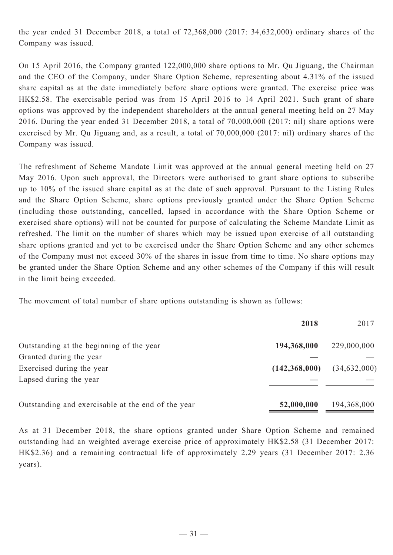the year ended 31 December 2018, a total of 72,368,000 (2017: 34,632,000) ordinary shares of the Company was issued.

On 15 April 2016, the Company granted 122,000,000 share options to Mr. Qu Jiguang, the Chairman and the CEO of the Company, under Share Option Scheme, representing about 4.31% of the issued share capital as at the date immediately before share options were granted. The exercise price was HK\$2.58. The exercisable period was from 15 April 2016 to 14 April 2021. Such grant of share options was approved by the independent shareholders at the annual general meeting held on 27 May 2016. During the year ended 31 December 2018, a total of 70,000,000 (2017: nil) share options were exercised by Mr. Qu Jiguang and, as a result, a total of 70,000,000 (2017: nil) ordinary shares of the Company was issued.

The refreshment of Scheme Mandate Limit was approved at the annual general meeting held on 27 May 2016. Upon such approval, the Directors were authorised to grant share options to subscribe up to 10% of the issued share capital as at the date of such approval. Pursuant to the Listing Rules and the Share Option Scheme, share options previously granted under the Share Option Scheme (including those outstanding, cancelled, lapsed in accordance with the Share Option Scheme or exercised share options) will not be counted for purpose of calculating the Scheme Mandate Limit as refreshed. The limit on the number of shares which may be issued upon exercise of all outstanding share options granted and yet to be exercised under the Share Option Scheme and any other schemes of the Company must not exceed 30% of the shares in issue from time to time. No share options may be granted under the Share Option Scheme and any other schemes of the Company if this will result in the limit being exceeded.

The movement of total number of share options outstanding is shown as follows:

|                                                    | 2018            | 2017           |
|----------------------------------------------------|-----------------|----------------|
| Outstanding at the beginning of the year           | 194,368,000     | 229,000,000    |
| Granted during the year                            |                 |                |
| Exercised during the year                          | (142, 368, 000) | (34, 632, 000) |
| Lapsed during the year                             |                 |                |
| Outstanding and exercisable at the end of the year | 52,000,000      | 194,368,000    |

As at 31 December 2018, the share options granted under Share Option Scheme and remained outstanding had an weighted average exercise price of approximately HK\$2.58 (31 December 2017: HK\$2.36) and a remaining contractual life of approximately 2.29 years (31 December 2017: 2.36 years).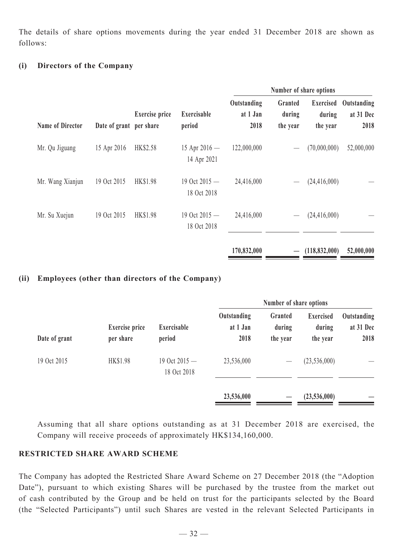The details of share options movements during the year ended 31 December 2018 are shown as follows:

## **(i) Directors of the Company**

|                         |                         |                       |                                |                                 |                               | Number of share options                |                                  |
|-------------------------|-------------------------|-----------------------|--------------------------------|---------------------------------|-------------------------------|----------------------------------------|----------------------------------|
| <b>Name of Director</b> | Date of grant per share | <b>Exercise</b> price | Exercisable<br>period          | Outstanding<br>at 1 Jan<br>2018 | Granted<br>during<br>the year | <b>Exercised</b><br>during<br>the year | Outstanding<br>at 31 Dec<br>2018 |
| Mr. Qu Jiguang          | 15 Apr 2016             | HK\$2.58              | 15 Apr $2016 -$<br>14 Apr 2021 | 122,000,000                     |                               | (70,000,000)                           | 52,000,000                       |
| Mr. Wang Xianjun        | 19 Oct 2015             | <b>HK\$1.98</b>       | 19 Oct 2015 -<br>18 Oct 2018   | 24,416,000                      |                               | (24, 416, 000)                         |                                  |
| Mr. Su Xuejun           | 19 Oct 2015             | <b>HK\$1.98</b>       | 19 Oct 2015 -<br>18 Oct 2018   | 24,416,000                      |                               | (24, 416, 000)                         |                                  |
|                         |                         |                       |                                | 170,832,000                     |                               | (118, 832, 000)                        | 52,000,000                       |

#### **(ii) Employees (other than directors of the Company)**

| Date of grant |                                    |                                |                                 | Number of share options       |                                        |                                  |
|---------------|------------------------------------|--------------------------------|---------------------------------|-------------------------------|----------------------------------------|----------------------------------|
|               | <b>Exercise</b> price<br>per share | Exercisable<br>period          | Outstanding<br>at 1 Jan<br>2018 | Granted<br>during<br>the year | <b>Exercised</b><br>during<br>the year | Outstanding<br>at 31 Dec<br>2018 |
| 19 Oct 2015   | HK\$1.98                           | 19 Oct $2015 -$<br>18 Oct 2018 | 23,536,000                      |                               | (23, 536, 000)                         |                                  |
|               |                                    |                                | 23,536,000                      |                               | (23,536,000)                           |                                  |

Assuming that all share options outstanding as at 31 December 2018 are exercised, the Company will receive proceeds of approximately HK\$134,160,000.

# **RESTRICTED SHARE AWARD SCHEME**

The Company has adopted the Restricted Share Award Scheme on 27 December 2018 (the "Adoption Date"), pursuant to which existing Shares will be purchased by the trustee from the market out of cash contributed by the Group and be held on trust for the participants selected by the Board (the "Selected Participants") until such Shares are vested in the relevant Selected Participants in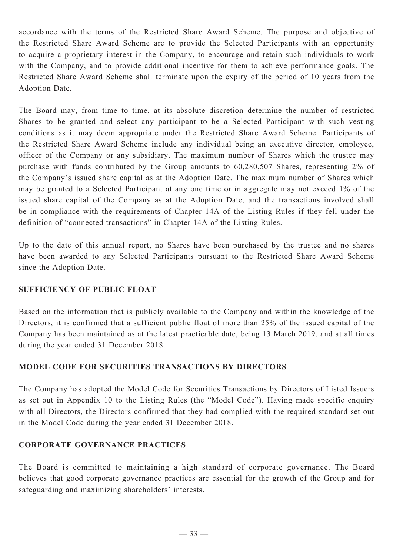accordance with the terms of the Restricted Share Award Scheme. The purpose and objective of the Restricted Share Award Scheme are to provide the Selected Participants with an opportunity to acquire a proprietary interest in the Company, to encourage and retain such individuals to work with the Company, and to provide additional incentive for them to achieve performance goals. The Restricted Share Award Scheme shall terminate upon the expiry of the period of 10 years from the Adoption Date.

The Board may, from time to time, at its absolute discretion determine the number of restricted Shares to be granted and select any participant to be a Selected Participant with such vesting conditions as it may deem appropriate under the Restricted Share Award Scheme. Participants of the Restricted Share Award Scheme include any individual being an executive director, employee, officer of the Company or any subsidiary. The maximum number of Shares which the trustee may purchase with funds contributed by the Group amounts to 60,280,507 Shares, representing 2% of the Company's issued share capital as at the Adoption Date. The maximum number of Shares which may be granted to a Selected Participant at any one time or in aggregate may not exceed 1% of the issued share capital of the Company as at the Adoption Date, and the transactions involved shall be in compliance with the requirements of Chapter 14A of the Listing Rules if they fell under the definition of "connected transactions" in Chapter 14A of the Listing Rules.

Up to the date of this annual report, no Shares have been purchased by the trustee and no shares have been awarded to any Selected Participants pursuant to the Restricted Share Award Scheme since the Adoption Date.

### **SUFFICIENCY OF PUBLIC FLOAT**

Based on the information that is publicly available to the Company and within the knowledge of the Directors, it is confirmed that a sufficient public float of more than 25% of the issued capital of the Company has been maintained as at the latest practicable date, being 13 March 2019, and at all times during the year ended 31 December 2018.

## **Model Code for Securities Transactions by Directors**

The Company has adopted the Model Code for Securities Transactions by Directors of Listed Issuers as set out in Appendix 10 to the Listing Rules (the "Model Code"). Having made specific enquiry with all Directors, the Directors confirmed that they had complied with the required standard set out in the Model Code during the year ended 31 December 2018.

### **Corporate Governance Practices**

The Board is committed to maintaining a high standard of corporate governance. The Board believes that good corporate governance practices are essential for the growth of the Group and for safeguarding and maximizing shareholders' interests.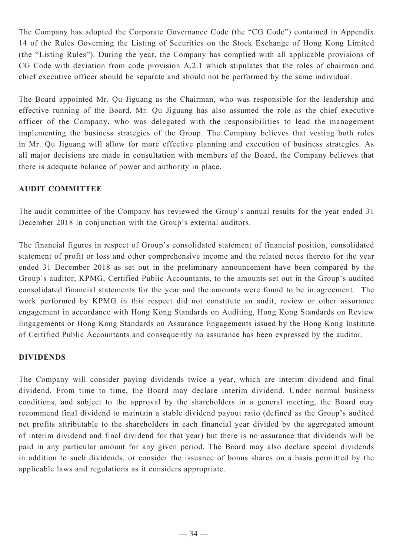The Company has adopted the Corporate Governance Code (the "CG Code") contained in Appendix 14 of the Rules Governing the Listing of Securities on the Stock Exchange of Hong Kong Limited (the "Listing Rules"). During the year, the Company has complied with all applicable provisions of CG Code with deviation from code provision A.2.1 which stipulates that the roles of chairman and chief executive officer should be separate and should not be performed by the same individual.

The Board appointed Mr. Qu Jiguang as the Chairman, who was responsible for the leadership and effective running of the Board. Mr. Qu Jiguang has also assumed the role as the chief executive officer of the Company, who was delegated with the responsibilities to lead the management implementing the business strategies of the Group. The Company believes that vesting both roles in Mr. Qu Jiguang will allow for more effective planning and execution of business strategies. As all major decisions are made in consultation with members of the Board, the Company believes that there is adequate balance of power and authority in place.

## **AUDIT COMMITTEE**

The audit committee of the Company has reviewed the Group's annual results for the year ended 31 December 2018 in conjunction with the Group's external auditors.

The financial figures in respect of Group's consolidated statement of financial position, consolidated statement of profit or loss and other comprehensive income and the related notes thereto for the year ended 31 December 2018 as set out in the preliminary announcement have been compared by the Group's auditor, KPMG, Certified Public Accountants, to the amounts set out in the Group's audited consolidated financial statements for the year and the amounts were found to be in agreement. The work performed by KPMG in this respect did not constitute an audit, review or other assurance engagement in accordance with Hong Kong Standards on Auditing, Hong Kong Standards on Review Engagements or Hong Kong Standards on Assurance Engagements issued by the Hong Kong Institute of Certified Public Accountants and consequently no assurance has been expressed by the auditor.

### **DIVIDENDS**

The Company will consider paying dividends twice a year, which are interim dividend and final dividend. From time to time, the Board may declare interim dividend. Under normal business conditions, and subject to the approval by the shareholders in a general meeting, the Board may recommend final dividend to maintain a stable dividend payout ratio (defined as the Group's audited net profits attributable to the shareholders in each financial year divided by the aggregated amount of interim dividend and final dividend for that year) but there is no assurance that dividends will be paid in any particular amount for any given period. The Board may also declare special dividends in addition to such dividends, or consider the issuance of bonus shares on a basis permitted by the applicable laws and regulations as it considers appropriate.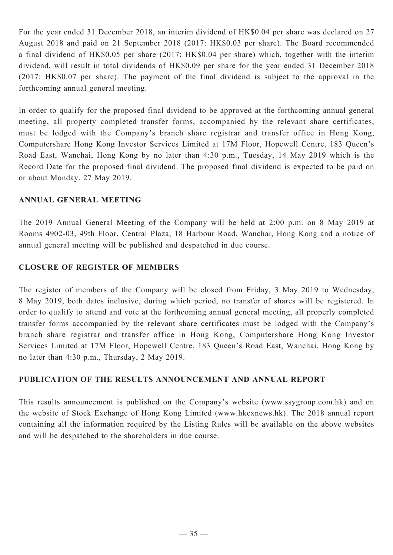For the year ended 31 December 2018, an interim dividend of HK\$0.04 per share was declared on 27 August 2018 and paid on 21 September 2018 (2017: HK\$0.03 per share). The Board recommended a final dividend of HK\$0.05 per share (2017: HK\$0.04 per share) which, together with the interim dividend, will result in total dividends of HK\$0.09 per share for the year ended 31 December 2018 (2017: HK\$0.07 per share). The payment of the final dividend is subject to the approval in the forthcoming annual general meeting.

In order to qualify for the proposed final dividend to be approved at the forthcoming annual general meeting, all property completed transfer forms, accompanied by the relevant share certificates, must be lodged with the Company's branch share registrar and transfer office in Hong Kong, Computershare Hong Kong Investor Services Limited at 17M Floor, Hopewell Centre, 183 Queen's Road East, Wanchai, Hong Kong by no later than 4:30 p.m., Tuesday, 14 May 2019 which is the Record Date for the proposed final dividend. The proposed final dividend is expected to be paid on or about Monday, 27 May 2019.

## **ANNUAL GENERAL MEETING**

The 2019 Annual General Meeting of the Company will be held at 2:00 p.m. on 8 May 2019 at Rooms 4902-03, 49th Floor, Central Plaza, 18 Harbour Road, Wanchai, Hong Kong and a notice of annual general meeting will be published and despatched in due course.

## **CLOSURE OF REGISTER OF MEMBERS**

The register of members of the Company will be closed from Friday, 3 May 2019 to Wednesday, 8 May 2019, both dates inclusive, during which period, no transfer of shares will be registered. In order to qualify to attend and vote at the forthcoming annual general meeting, all properly completed transfer forms accompanied by the relevant share certificates must be lodged with the Company's branch share registrar and transfer office in Hong Kong, Computershare Hong Kong Investor Services Limited at 17M Floor, Hopewell Centre, 183 Queen's Road East, Wanchai, Hong Kong by no later than 4:30 p.m., Thursday, 2 May 2019.

## **PUBLICATION OF THE RESULTS ANNOUNCEMENT AND ANNUAL REPORT**

This results announcement is published on the Company's website (www.ssygroup.com.hk) and on the website of Stock Exchange of Hong Kong Limited (www.hkexnews.hk). The 2018 annual report containing all the information required by the Listing Rules will be available on the above websites and will be despatched to the shareholders in due course.